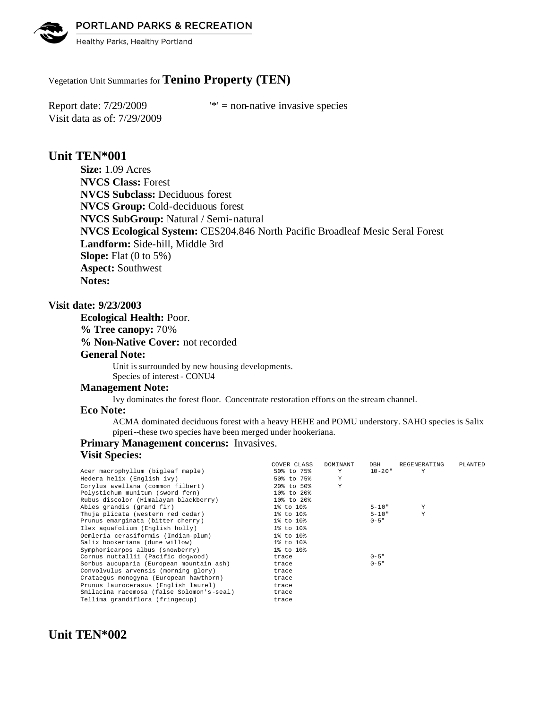

Healthy Parks, Healthy Portland

## Vegetation Unit Summaries for **Tenino Property (TEN)**

Visit data as of: 7/29/2009

Report date:  $7/29/2009$  '\*' = non-native invasive species

## **Unit TEN\*001**

**Size:** 1.09 Acres **NVCS Class:** Forest **NVCS Subclass:** Deciduous forest **NVCS Group:** Cold-deciduous forest **NVCS SubGroup:** Natural / Semi-natural **NVCS Ecological System:** CES204.846 North Pacific Broadleaf Mesic Seral Forest **Landform:** Side-hill, Middle 3rd **Slope:** Flat (0 to 5%) **Aspect:** Southwest **Notes:** 

### **Visit date: 9/23/2003**

**Ecological Health:** Poor. **% Tree canopy:** 70%

**% Non-Native Cover:** not recorded

### **General Note:**

Unit is surrounded by new housing developments. Species of interest - CONU4

#### **Management Note:**

Ivy dominates the forest floor. Concentrate restoration efforts on the stream channel.

#### **Eco Note:**

ACMA dominated deciduous forest with a heavy HEHE and POMU understory. SAHO species is Salix piperi--these two species have been merged under hookeriana.

## **Primary Management concerns:** Invasives.

## **Visit Species:**

|                                           | COVER CLASS | DOMINANT | DBH         | REGENERATING | PLANTED |
|-------------------------------------------|-------------|----------|-------------|--------------|---------|
| Acer macrophyllum (bigleaf maple)         | 50% to 75%  | Y        | $10 - 20$ " | Y            |         |
| Hedera helix (English ivy)                | 50% to 75%  | Y        |             |              |         |
| Corvlus avellana (common filbert)         | 20% to 50%  | Y        |             |              |         |
| Polystichum munitum (sword fern)          | 10% to 20%  |          |             |              |         |
| Rubus discolor (Himalayan blackberry)     | 10% to 20%  |          |             |              |         |
| Abies grandis (grand fir)                 | 1% to 10%   |          | $5 - 10"$   | Y            |         |
| Thuja plicata (western red cedar)         | 1% to 10%   |          | $5 - 10"$   | Y            |         |
| Prunus emarginata (bitter cherry)         | 1% to 10%   |          | $0 - 5$ "   |              |         |
| Ilex aquafolium (English holly)           | 1% to 10%   |          |             |              |         |
| Oemleria cerasiformis (Indian-plum)       | 1% to 10%   |          |             |              |         |
| Salix hookeriana (dune willow)            | 1% to 10%   |          |             |              |         |
| Symphoricarpos albus (snowberry)          | 1% to 10%   |          |             |              |         |
| Cornus nuttallii (Pacific dogwood)        | trace       |          | $0 - 5$ "   |              |         |
| Sorbus aucuparia (European mountain ash)  | trace       |          | $0 - 5$ "   |              |         |
| Convolvulus arvensis (morning glory)      | trace       |          |             |              |         |
| Crataegus monogyna (European hawthorn)    | trace       |          |             |              |         |
| Prunus laurocerasus (English laurel)      | trace       |          |             |              |         |
| Smilacina racemosa (false Solomon's-seal) | trace       |          |             |              |         |
| Tellima grandiflora (fringecup)           | trace       |          |             |              |         |
|                                           |             |          |             |              |         |

# **Unit TEN\*002**